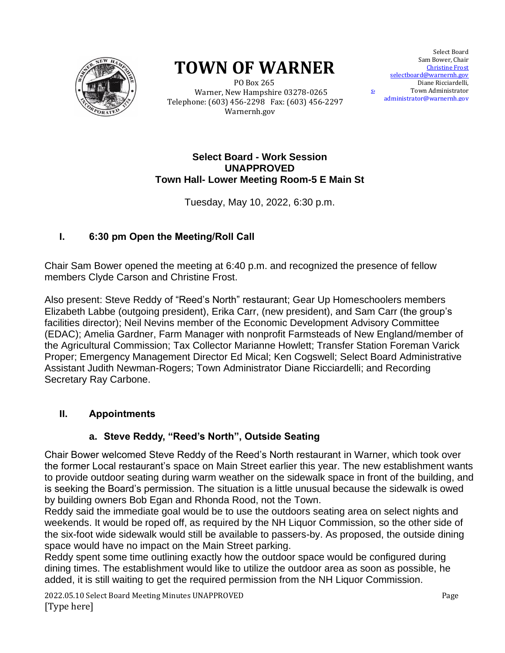

# **TOWN OF WARNER**

 PO Box 265 Warner, New Hampshire 03278-0265 Telephone: (603) 456-2298 Fax: (603) 456-2297 Warnernh.gov

Select Board Sam Bower, Chair Christine Frost selectboard@warnernh.gov selection of the Town Administrator [administrator@warnernh.g](mailto:administrator@warnernh.)ov Diane Ricciardelli,

#### **Select Board - Work Session UNAPPROVED Town Hall- Lower Meeting Room-5 E Main St**

Tuesday, May 10, 2022, 6:30 p.m.

# **I. 6:30 pm Open the Meeting/Roll Call**

Chair Sam Bower opened the meeting at 6:40 p.m. and recognized the presence of fellow members Clyde Carson and Christine Frost.

Also present: Steve Reddy of "Reed's North" restaurant; Gear Up Homeschoolers members Elizabeth Labbe (outgoing president), Erika Carr, (new president), and Sam Carr (the group's facilities director); Neil Nevins member of the Economic Development Advisory Committee (EDAC); Amelia Gardner, Farm Manager with nonprofit Farmsteads of New England/member of the Agricultural Commission; Tax Collector Marianne Howlett; Transfer Station Foreman Varick Proper; Emergency Management Director Ed Mical; Ken Cogswell; Select Board Administrative Assistant Judith Newman-Rogers; Town Administrator Diane Ricciardelli; and Recording Secretary Ray Carbone.

# **II. Appointments**

## **a. Steve Reddy, "Reed's North", Outside Seating**

Chair Bower welcomed Steve Reddy of the Reed's North restaurant in Warner, which took over the former Local restaurant's space on Main Street earlier this year. The new establishment wants to provide outdoor seating during warm weather on the sidewalk space in front of the building, and is seeking the Board's permission. The situation is a little unusual because the sidewalk is owed by building owners Bob Egan and Rhonda Rood, not the Town.

Reddy said the immediate goal would be to use the outdoors seating area on select nights and weekends. It would be roped off, as required by the NH Liquor Commission, so the other side of the six-foot wide sidewalk would still be available to passers-by. As proposed, the outside dining space would have no impact on the Main Street parking.

Reddy spent some time outlining exactly how the outdoor space would be configured during dining times. The establishment would like to utilize the outdoor area as soon as possible, he added, it is still waiting to get the required permission from the NH Liquor Commission.

2022.05.10 Select Board Meeting Minutes UNAPPROVED Page [Type here]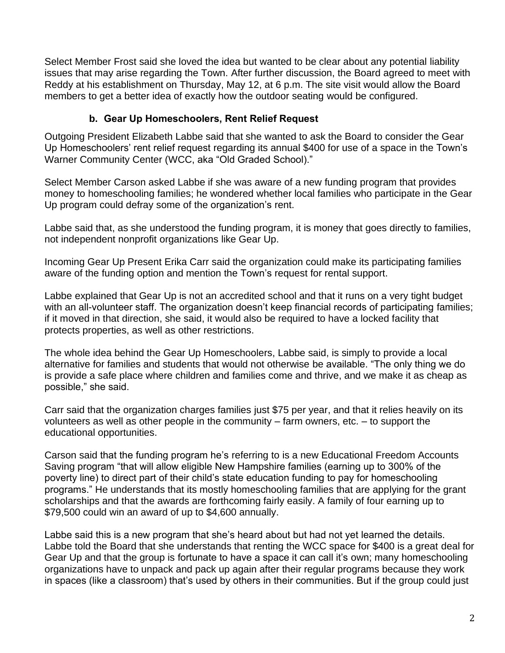Select Member Frost said she loved the idea but wanted to be clear about any potential liability issues that may arise regarding the Town. After further discussion, the Board agreed to meet with Reddy at his establishment on Thursday, May 12, at 6 p.m. The site visit would allow the Board members to get a better idea of exactly how the outdoor seating would be configured.

# **b. Gear Up Homeschoolers, Rent Relief Request**

Outgoing President Elizabeth Labbe said that she wanted to ask the Board to consider the Gear Up Homeschoolers' rent relief request regarding its annual \$400 for use of a space in the Town's Warner Community Center (WCC, aka "Old Graded School)."

Select Member Carson asked Labbe if she was aware of a new funding program that provides money to homeschooling families; he wondered whether local families who participate in the Gear Up program could defray some of the organization's rent.

Labbe said that, as she understood the funding program, it is money that goes directly to families, not independent nonprofit organizations like Gear Up.

Incoming Gear Up Present Erika Carr said the organization could make its participating families aware of the funding option and mention the Town's request for rental support.

Labbe explained that Gear Up is not an accredited school and that it runs on a very tight budget with an all-volunteer staff. The organization doesn't keep financial records of participating families; if it moved in that direction, she said, it would also be required to have a locked facility that protects properties, as well as other restrictions.

The whole idea behind the Gear Up Homeschoolers, Labbe said, is simply to provide a local alternative for families and students that would not otherwise be available. "The only thing we do is provide a safe place where children and families come and thrive, and we make it as cheap as possible," she said.

Carr said that the organization charges families just \$75 per year, and that it relies heavily on its volunteers as well as other people in the community – farm owners, etc. – to support the educational opportunities.

Carson said that the funding program he's referring to is a new Educational Freedom Accounts Saving program "that will allow eligible New Hampshire families (earning up to 300% of the poverty line) to direct part of their child's state education funding to pay for homeschooling programs." He understands that its mostly homeschooling families that are applying for the grant scholarships and that the awards are forthcoming fairly easily. A family of four earning up to \$79,500 could win an award of up to \$4,600 annually.

Labbe said this is a new program that she's heard about but had not yet learned the details. Labbe told the Board that she understands that renting the WCC space for \$400 is a great deal for Gear Up and that the group is fortunate to have a space it can call it's own; many homeschooling organizations have to unpack and pack up again after their regular programs because they work in spaces (like a classroom) that's used by others in their communities. But if the group could just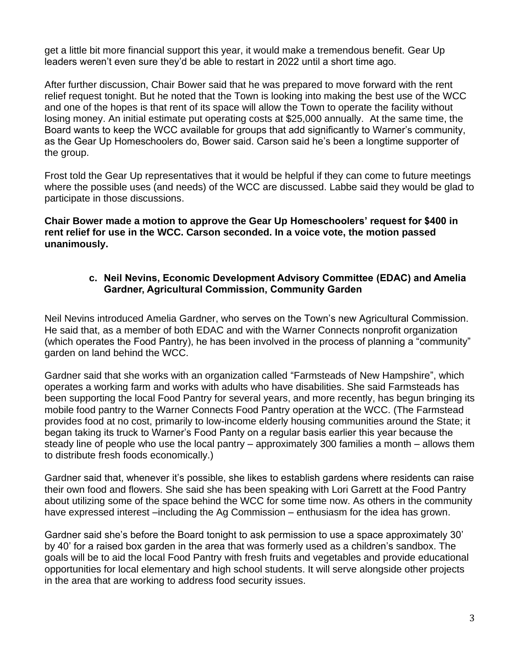get a little bit more financial support this year, it would make a tremendous benefit. Gear Up leaders weren't even sure they'd be able to restart in 2022 until a short time ago.

After further discussion, Chair Bower said that he was prepared to move forward with the rent relief request tonight. But he noted that the Town is looking into making the best use of the WCC and one of the hopes is that rent of its space will allow the Town to operate the facility without losing money. An initial estimate put operating costs at \$25,000 annually. At the same time, the Board wants to keep the WCC available for groups that add significantly to Warner's community, as the Gear Up Homeschoolers do, Bower said. Carson said he's been a longtime supporter of the group.

Frost told the Gear Up representatives that it would be helpful if they can come to future meetings where the possible uses (and needs) of the WCC are discussed. Labbe said they would be glad to participate in those discussions.

**Chair Bower made a motion to approve the Gear Up Homeschoolers' request for \$400 in rent relief for use in the WCC. Carson seconded. In a voice vote, the motion passed unanimously.**

# **c. Neil Nevins, Economic Development Advisory Committee (EDAC) and Amelia Gardner, Agricultural Commission, Community Garden**

Neil Nevins introduced Amelia Gardner, who serves on the Town's new Agricultural Commission. He said that, as a member of both EDAC and with the Warner Connects nonprofit organization (which operates the Food Pantry), he has been involved in the process of planning a "community" garden on land behind the WCC.

Gardner said that she works with an organization called "Farmsteads of New Hampshire", which operates a working farm and works with adults who have disabilities. She said Farmsteads has been supporting the local Food Pantry for several years, and more recently, has begun bringing its mobile food pantry to the Warner Connects Food Pantry operation at the WCC. (The Farmstead provides food at no cost, primarily to low-income elderly housing communities around the State; it began taking its truck to Warner's Food Panty on a regular basis earlier this year because the steady line of people who use the local pantry – approximately 300 families a month – allows them to distribute fresh foods economically.)

Gardner said that, whenever it's possible, she likes to establish gardens where residents can raise their own food and flowers. She said she has been speaking with Lori Garrett at the Food Pantry about utilizing some of the space behind the WCC for some time now. As others in the community have expressed interest –including the Ag Commission – enthusiasm for the idea has grown.

Gardner said she's before the Board tonight to ask permission to use a space approximately 30' by 40' for a raised box garden in the area that was formerly used as a children's sandbox. The goals will be to aid the local Food Pantry with fresh fruits and vegetables and provide educational opportunities for local elementary and high school students. It will serve alongside other projects in the area that are working to address food security issues.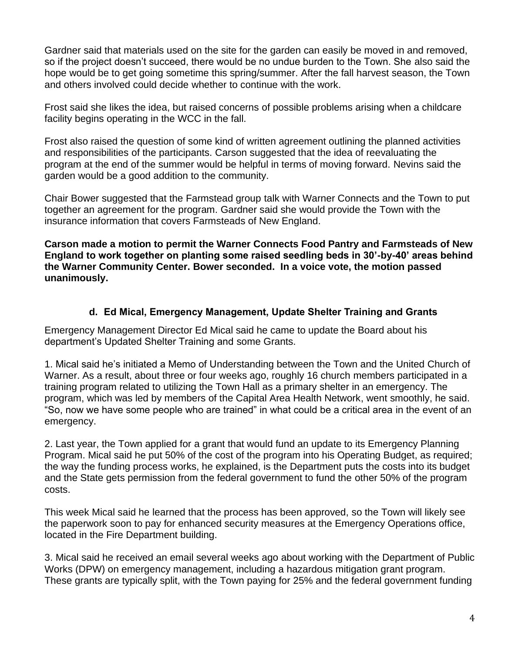Gardner said that materials used on the site for the garden can easily be moved in and removed, so if the project doesn't succeed, there would be no undue burden to the Town. She also said the hope would be to get going sometime this spring/summer. After the fall harvest season, the Town and others involved could decide whether to continue with the work.

Frost said she likes the idea, but raised concerns of possible problems arising when a childcare facility begins operating in the WCC in the fall.

Frost also raised the question of some kind of written agreement outlining the planned activities and responsibilities of the participants. Carson suggested that the idea of reevaluating the program at the end of the summer would be helpful in terms of moving forward. Nevins said the garden would be a good addition to the community.

Chair Bower suggested that the Farmstead group talk with Warner Connects and the Town to put together an agreement for the program. Gardner said she would provide the Town with the insurance information that covers Farmsteads of New England.

**Carson made a motion to permit the Warner Connects Food Pantry and Farmsteads of New England to work together on planting some raised seedling beds in 30'-by-40' areas behind the Warner Community Center. Bower seconded. In a voice vote, the motion passed unanimously.**

# **d. Ed Mical, Emergency Management, Update Shelter Training and Grants**

Emergency Management Director Ed Mical said he came to update the Board about his department's Updated Shelter Training and some Grants.

1. Mical said he's initiated a Memo of Understanding between the Town and the United Church of Warner. As a result, about three or four weeks ago, roughly 16 church members participated in a training program related to utilizing the Town Hall as a primary shelter in an emergency. The program, which was led by members of the Capital Area Health Network, went smoothly, he said. "So, now we have some people who are trained" in what could be a critical area in the event of an emergency.

2. Last year, the Town applied for a grant that would fund an update to its Emergency Planning Program. Mical said he put 50% of the cost of the program into his Operating Budget, as required; the way the funding process works, he explained, is the Department puts the costs into its budget and the State gets permission from the federal government to fund the other 50% of the program costs.

This week Mical said he learned that the process has been approved, so the Town will likely see the paperwork soon to pay for enhanced security measures at the Emergency Operations office, located in the Fire Department building.

3. Mical said he received an email several weeks ago about working with the Department of Public Works (DPW) on emergency management, including a hazardous mitigation grant program. These grants are typically split, with the Town paying for 25% and the federal government funding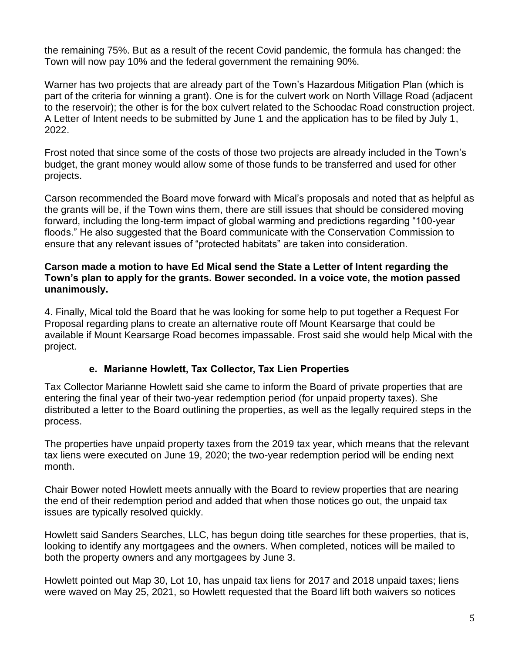the remaining 75%. But as a result of the recent Covid pandemic, the formula has changed: the Town will now pay 10% and the federal government the remaining 90%.

Warner has two projects that are already part of the Town's Hazardous Mitigation Plan (which is part of the criteria for winning a grant). One is for the culvert work on North Village Road (adjacent to the reservoir); the other is for the box culvert related to the Schoodac Road construction project. A Letter of Intent needs to be submitted by June 1 and the application has to be filed by July 1, 2022.

Frost noted that since some of the costs of those two projects are already included in the Town's budget, the grant money would allow some of those funds to be transferred and used for other projects.

Carson recommended the Board move forward with Mical's proposals and noted that as helpful as the grants will be, if the Town wins them, there are still issues that should be considered moving forward, including the long-term impact of global warming and predictions regarding "100-year floods." He also suggested that the Board communicate with the Conservation Commission to ensure that any relevant issues of "protected habitats" are taken into consideration.

#### **Carson made a motion to have Ed Mical send the State a Letter of Intent regarding the Town's plan to apply for the grants. Bower seconded. In a voice vote, the motion passed unanimously.**

4. Finally, Mical told the Board that he was looking for some help to put together a Request For Proposal regarding plans to create an alternative route off Mount Kearsarge that could be available if Mount Kearsarge Road becomes impassable. Frost said she would help Mical with the project.

## **e. Marianne Howlett, Tax Collector, Tax Lien Properties**

Tax Collector Marianne Howlett said she came to inform the Board of private properties that are entering the final year of their two-year redemption period (for unpaid property taxes). She distributed a letter to the Board outlining the properties, as well as the legally required steps in the process.

The properties have unpaid property taxes from the 2019 tax year, which means that the relevant tax liens were executed on June 19, 2020; the two-year redemption period will be ending next month.

Chair Bower noted Howlett meets annually with the Board to review properties that are nearing the end of their redemption period and added that when those notices go out, the unpaid tax issues are typically resolved quickly.

Howlett said Sanders Searches, LLC, has begun doing title searches for these properties, that is, looking to identify any mortgagees and the owners. When completed, notices will be mailed to both the property owners and any mortgagees by June 3.

Howlett pointed out Map 30, Lot 10, has unpaid tax liens for 2017 and 2018 unpaid taxes; liens were waved on May 25, 2021, so Howlett requested that the Board lift both waivers so notices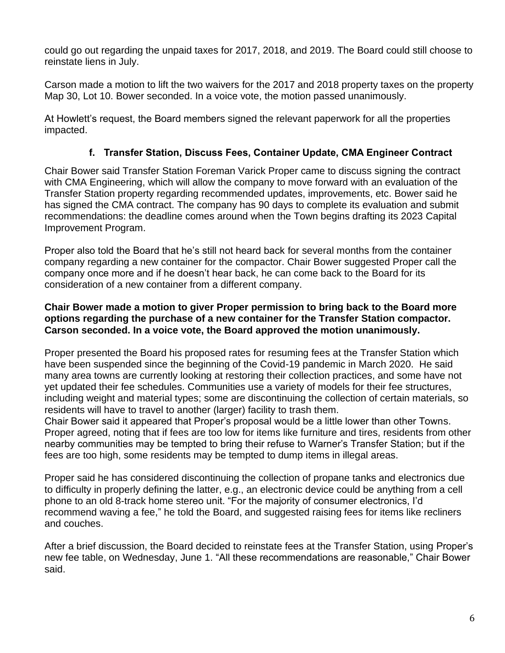could go out regarding the unpaid taxes for 2017, 2018, and 2019. The Board could still choose to reinstate liens in July.

Carson made a motion to lift the two waivers for the 2017 and 2018 property taxes on the property Map 30, Lot 10. Bower seconded. In a voice vote, the motion passed unanimously.

At Howlett's request, the Board members signed the relevant paperwork for all the properties impacted.

# **f. Transfer Station, Discuss Fees, Container Update, CMA Engineer Contract**

Chair Bower said Transfer Station Foreman Varick Proper came to discuss signing the contract with CMA Engineering, which will allow the company to move forward with an evaluation of the Transfer Station property regarding recommended updates, improvements, etc. Bower said he has signed the CMA contract. The company has 90 days to complete its evaluation and submit recommendations: the deadline comes around when the Town begins drafting its 2023 Capital Improvement Program.

Proper also told the Board that he's still not heard back for several months from the container company regarding a new container for the compactor. Chair Bower suggested Proper call the company once more and if he doesn't hear back, he can come back to the Board for its consideration of a new container from a different company.

## **Chair Bower made a motion to giver Proper permission to bring back to the Board more options regarding the purchase of a new container for the Transfer Station compactor. Carson seconded. In a voice vote, the Board approved the motion unanimously.**

Proper presented the Board his proposed rates for resuming fees at the Transfer Station which have been suspended since the beginning of the Covid-19 pandemic in March 2020. He said many area towns are currently looking at restoring their collection practices, and some have not yet updated their fee schedules. Communities use a variety of models for their fee structures, including weight and material types; some are discontinuing the collection of certain materials, so residents will have to travel to another (larger) facility to trash them.

Chair Bower said it appeared that Proper's proposal would be a little lower than other Towns. Proper agreed, noting that if fees are too low for items like furniture and tires, residents from other nearby communities may be tempted to bring their refuse to Warner's Transfer Station; but if the fees are too high, some residents may be tempted to dump items in illegal areas.

Proper said he has considered discontinuing the collection of propane tanks and electronics due to difficulty in properly defining the latter, e.g., an electronic device could be anything from a cell phone to an old 8-track home stereo unit. "For the majority of consumer electronics, I'd recommend waving a fee," he told the Board, and suggested raising fees for items like recliners and couches.

After a brief discussion, the Board decided to reinstate fees at the Transfer Station, using Proper's new fee table, on Wednesday, June 1. "All these recommendations are reasonable," Chair Bower said.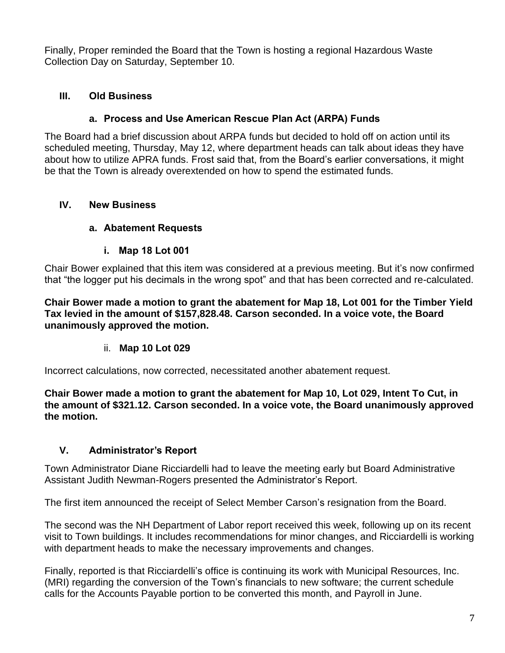Finally, Proper reminded the Board that the Town is hosting a regional Hazardous Waste Collection Day on Saturday, September 10.

# **III. Old Business**

## **a. Process and Use American Rescue Plan Act (ARPA) Funds**

The Board had a brief discussion about ARPA funds but decided to hold off on action until its scheduled meeting, Thursday, May 12, where department heads can talk about ideas they have about how to utilize APRA funds. Frost said that, from the Board's earlier conversations, it might be that the Town is already overextended on how to spend the estimated funds.

# **IV. New Business**

# **a. Abatement Requests**

# **i. Map 18 Lot 001**

Chair Bower explained that this item was considered at a previous meeting. But it's now confirmed that "the logger put his decimals in the wrong spot" and that has been corrected and re-calculated.

**Chair Bower made a motion to grant the abatement for Map 18, Lot 001 for the Timber Yield Tax levied in the amount of \$157,828.48. Carson seconded. In a voice vote, the Board unanimously approved the motion.**

## ii. **Map 10 Lot 029**

Incorrect calculations, now corrected, necessitated another abatement request.

**Chair Bower made a motion to grant the abatement for Map 10, Lot 029, Intent To Cut, in the amount of \$321.12. Carson seconded. In a voice vote, the Board unanimously approved the motion.**

# **V. Administrator's Report**

Town Administrator Diane Ricciardelli had to leave the meeting early but Board Administrative Assistant Judith Newman-Rogers presented the Administrator's Report.

The first item announced the receipt of Select Member Carson's resignation from the Board.

The second was the NH Department of Labor report received this week, following up on its recent visit to Town buildings. It includes recommendations for minor changes, and Ricciardelli is working with department heads to make the necessary improvements and changes.

Finally, reported is that Ricciardelli's office is continuing its work with Municipal Resources, Inc. (MRI) regarding the conversion of the Town's financials to new software; the current schedule calls for the Accounts Payable portion to be converted this month, and Payroll in June.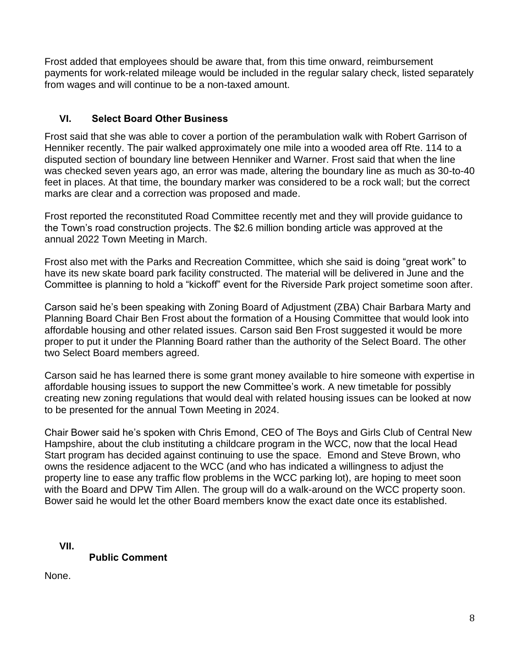Frost added that employees should be aware that, from this time onward, reimbursement payments for work-related mileage would be included in the regular salary check, listed separately from wages and will continue to be a non-taxed amount.

# **VI. Select Board Other Business**

Frost said that she was able to cover a portion of the perambulation walk with Robert Garrison of Henniker recently. The pair walked approximately one mile into a wooded area off Rte. 114 to a disputed section of boundary line between Henniker and Warner. Frost said that when the line was checked seven years ago, an error was made, altering the boundary line as much as 30-to-40 feet in places. At that time, the boundary marker was considered to be a rock wall; but the correct marks are clear and a correction was proposed and made.

Frost reported the reconstituted Road Committee recently met and they will provide guidance to the Town's road construction projects. The \$2.6 million bonding article was approved at the annual 2022 Town Meeting in March.

Frost also met with the Parks and Recreation Committee, which she said is doing "great work" to have its new skate board park facility constructed. The material will be delivered in June and the Committee is planning to hold a "kickoff" event for the Riverside Park project sometime soon after.

Carson said he's been speaking with Zoning Board of Adjustment (ZBA) Chair Barbara Marty and Planning Board Chair Ben Frost about the formation of a Housing Committee that would look into affordable housing and other related issues. Carson said Ben Frost suggested it would be more proper to put it under the Planning Board rather than the authority of the Select Board. The other two Select Board members agreed.

Carson said he has learned there is some grant money available to hire someone with expertise in affordable housing issues to support the new Committee's work. A new timetable for possibly creating new zoning regulations that would deal with related housing issues can be looked at now to be presented for the annual Town Meeting in 2024.

Chair Bower said he's spoken with Chris Emond, CEO of The Boys and Girls Club of Central New Hampshire, about the club instituting a childcare program in the WCC, now that the local Head Start program has decided against continuing to use the space. Emond and Steve Brown, who owns the residence adjacent to the WCC (and who has indicated a willingness to adjust the property line to ease any traffic flow problems in the WCC parking lot), are hoping to meet soon with the Board and DPW Tim Allen. The group will do a walk-around on the WCC property soon. Bower said he would let the other Board members know the exact date once its established.

**VII.**

**Public Comment**

None.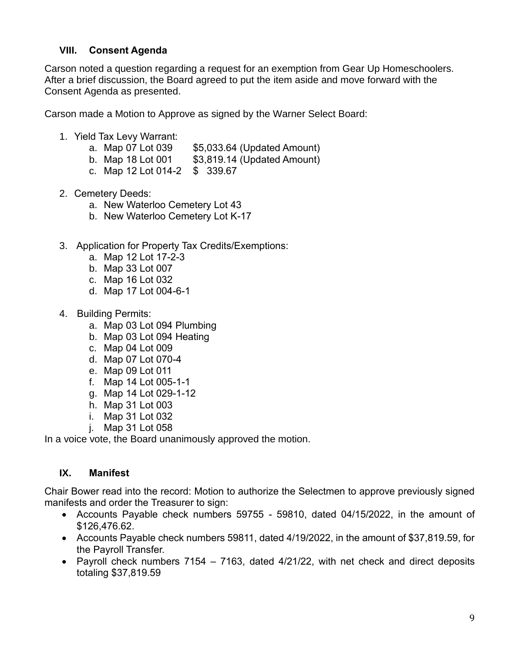# **VIII. Consent Agenda**

Carson noted a question regarding a request for an exemption from Gear Up Homeschoolers. After a brief discussion, the Board agreed to put the item aside and move forward with the Consent Agenda as presented.

Carson made a Motion to Approve as signed by the Warner Select Board:

- 1. Yield Tax Levy Warrant:
	- a. Map 07 Lot 039 \$5,033.64 (Updated Amount)
	- b. Map 18 Lot 001 \$3,819.14 (Updated Amount)
	- c. Map 12 Lot 014-2 \$ 339.67
- 2. Cemetery Deeds:
	- a. New Waterloo Cemetery Lot 43
	- b. New Waterloo Cemetery Lot K-17
- 3. Application for Property Tax Credits/Exemptions:
	- a. Map 12 Lot 17-2-3
	- b. Map 33 Lot 007
	- c. Map 16 Lot 032
	- d. Map 17 Lot 004-6-1
- 4. Building Permits:
	- a. Map 03 Lot 094 Plumbing
	- b. Map 03 Lot 094 Heating
	- c. Map 04 Lot 009
	- d. Map 07 Lot 070-4
	- e. Map 09 Lot 011
	- f. Map 14 Lot 005-1-1
	- g. Map 14 Lot 029-1-12
	- h. Map 31 Lot 003
	- i. Map 31 Lot 032
	- j. Map 31 Lot 058

In a voice vote, the Board unanimously approved the motion.

## **IX. Manifest**

Chair Bower read into the record: Motion to authorize the Selectmen to approve previously signed manifests and order the Treasurer to sign:

- Accounts Payable check numbers 59755 59810, dated 04/15/2022, in the amount of \$126,476.62.
- Accounts Payable check numbers 59811, dated 4/19/2022, in the amount of \$37,819.59, for the Payroll Transfer.
- Payroll check numbers 7154 7163, dated 4/21/22, with net check and direct deposits totaling \$37,819.59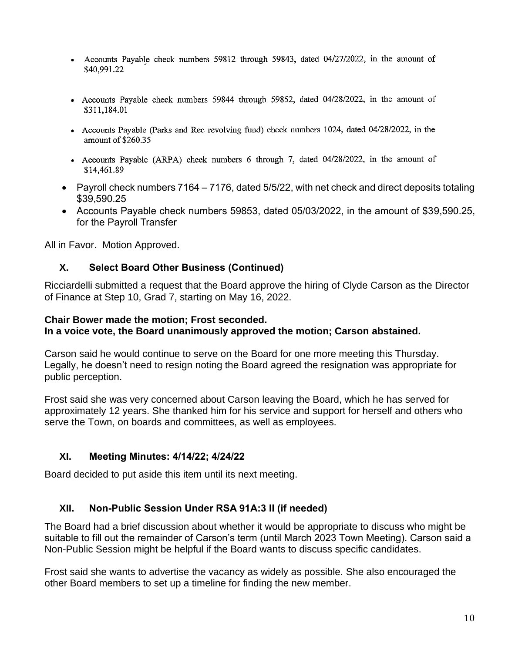- Accounts Payable check numbers 59812 through 59843, dated 04/27/2022, in the amount of \$40.991.22
- Accounts Payable check numbers 59844 through 59852, dated 04/28/2022, in the amount of \$311,184.01
- Accounts Payable (Parks and Rec revolving fund) check numbers 1024, dated 04/28/2022, in the amount of \$260.35
- Accounts Payable (ARPA) check numbers 6 through 7, dated 04/28/2022, in the amount of \$14,461.89
- Payroll check numbers 7164 7176, dated 5/5/22, with net check and direct deposits totaling \$39,590.25
- Accounts Payable check numbers 59853, dated 05/03/2022, in the amount of \$39,590.25, for the Payroll Transfer

All in Favor. Motion Approved.

#### **X. Select Board Other Business (Continued)**

Ricciardelli submitted a request that the Board approve the hiring of Clyde Carson as the Director of Finance at Step 10, Grad 7, starting on May 16, 2022.

#### **Chair Bower made the motion; Frost seconded. In a voice vote, the Board unanimously approved the motion; Carson abstained.**

Carson said he would continue to serve on the Board for one more meeting this Thursday. Legally, he doesn't need to resign noting the Board agreed the resignation was appropriate for public perception.

Frost said she was very concerned about Carson leaving the Board, which he has served for approximately 12 years. She thanked him for his service and support for herself and others who serve the Town, on boards and committees, as well as employees.

## **XI. Meeting Minutes: 4/14/22; 4/24/22**

Board decided to put aside this item until its next meeting.

## **XII. Non-Public Session Under RSA 91A:3 II (if needed)**

The Board had a brief discussion about whether it would be appropriate to discuss who might be suitable to fill out the remainder of Carson's term (until March 2023 Town Meeting). Carson said a Non-Public Session might be helpful if the Board wants to discuss specific candidates.

Frost said she wants to advertise the vacancy as widely as possible. She also encouraged the other Board members to set up a timeline for finding the new member.